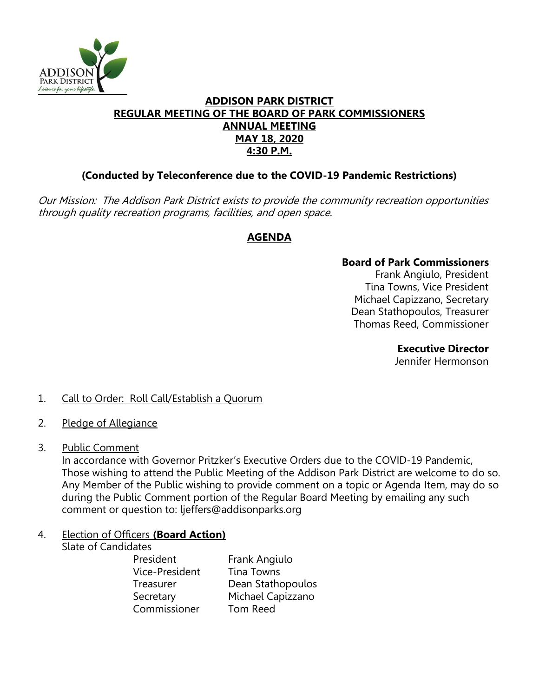

### **ADDISON PARK DISTRICT REGULAR MEETING OF THE BOARD OF PARK COMMISSIONERS ANNUAL MEETING MAY 18, 2020 4:30 P.M.**

## **(Conducted by Teleconference due to the COVID-19 Pandemic Restrictions)**

Our Mission: The Addison Park District exists to provide the community recreation opportunities through quality recreation programs, facilities, and open space.

## **AGENDA**

#### **Board of Park Commissioners**

Frank Angiulo, President Tina Towns, Vice President Michael Capizzano, Secretary Dean Stathopoulos, Treasurer Thomas Reed, Commissioner

#### **Executive Director**

Jennifer Hermonson

### 1. Call to Order: Roll Call/Establish a Quorum

- 2. Pledge of Allegiance
- 3. Public Comment

In accordance with Governor Pritzker's Executive Orders due to the COVID-19 Pandemic, Those wishing to attend the Public Meeting of the Addison Park District are welcome to do so. Any Member of the Public wishing to provide comment on a topic or Agenda Item, may do so during the Public Comment portion of the Regular Board Meeting by emailing any such comment or question to: ljeffers@addisonparks.org

# 4. Election of Officers **(Board Action)**

Slate of Candidates

President Frank Angiulo Vice-President Tina Towns Treasurer Dean Stathopoulos Secretary Michael Capizzano Commissioner Tom Reed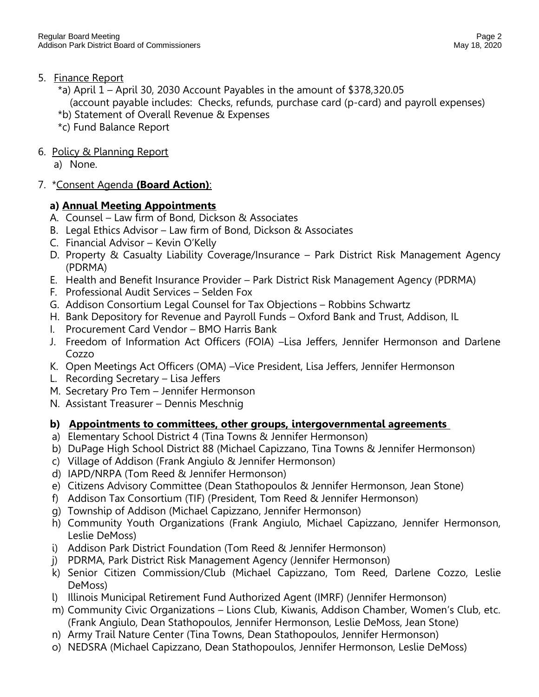- 5. Finance Report
	- \*a) April 1 April 30, 2030 Account Payables in the amount of \$378,320.05

(account payable includes: Checks, refunds, purchase card (p-card) and payroll expenses)

- \*b) Statement of Overall Revenue & Expenses
- \*c) Fund Balance Report
- 6. Policy & Planning Report

a) None.

7. \*Consent Agenda **(Board Action)**:

# **a) Annual Meeting Appointments**

- A. Counsel Law firm of Bond, Dickson & Associates
- B. Legal Ethics Advisor Law firm of Bond, Dickson & Associates
- C. Financial Advisor Kevin O'Kelly
- D. Property & Casualty Liability Coverage/Insurance Park District Risk Management Agency (PDRMA)
- E. Health and Benefit Insurance Provider Park District Risk Management Agency (PDRMA)
- F. Professional Audit Services Selden Fox
- G. Addison Consortium Legal Counsel for Tax Objections Robbins Schwartz
- H. Bank Depository for Revenue and Payroll Funds Oxford Bank and Trust, Addison, IL
- I. Procurement Card Vendor BMO Harris Bank
- J. Freedom of Information Act Officers (FOIA) –Lisa Jeffers, Jennifer Hermonson and Darlene Cozzo
- K. Open Meetings Act Officers (OMA) –Vice President, Lisa Jeffers, Jennifer Hermonson
- L. Recording Secretary Lisa Jeffers
- M. Secretary Pro Tem Jennifer Hermonson
- N. Assistant Treasurer Dennis Meschnig

# **b) Appointments to committees, other groups, intergovernmental agreements**

- a) Elementary School District 4 (Tina Towns & Jennifer Hermonson)
- b) DuPage High School District 88 (Michael Capizzano, Tina Towns & Jennifer Hermonson)
- c) Village of Addison (Frank Angiulo & Jennifer Hermonson)
- d) IAPD/NRPA (Tom Reed & Jennifer Hermonson)
- e) Citizens Advisory Committee (Dean Stathopoulos & Jennifer Hermonson, Jean Stone)
- f) Addison Tax Consortium (TIF) (President, Tom Reed & Jennifer Hermonson)
- g) Township of Addison (Michael Capizzano, Jennifer Hermonson)
- h) Community Youth Organizations (Frank Angiulo, Michael Capizzano, Jennifer Hermonson, Leslie DeMoss)
- i) Addison Park District Foundation (Tom Reed & Jennifer Hermonson)
- j) PDRMA, Park District Risk Management Agency (Jennifer Hermonson)
- k) Senior Citizen Commission/Club (Michael Capizzano, Tom Reed, Darlene Cozzo, Leslie DeMoss)
- l) Illinois Municipal Retirement Fund Authorized Agent (IMRF) (Jennifer Hermonson)
- m) Community Civic Organizations Lions Club, Kiwanis, Addison Chamber, Women's Club, etc. (Frank Angiulo, Dean Stathopoulos, Jennifer Hermonson, Leslie DeMoss, Jean Stone)
- n) Army Trail Nature Center (Tina Towns, Dean Stathopoulos, Jennifer Hermonson)
- o) NEDSRA (Michael Capizzano, Dean Stathopoulos, Jennifer Hermonson, Leslie DeMoss)